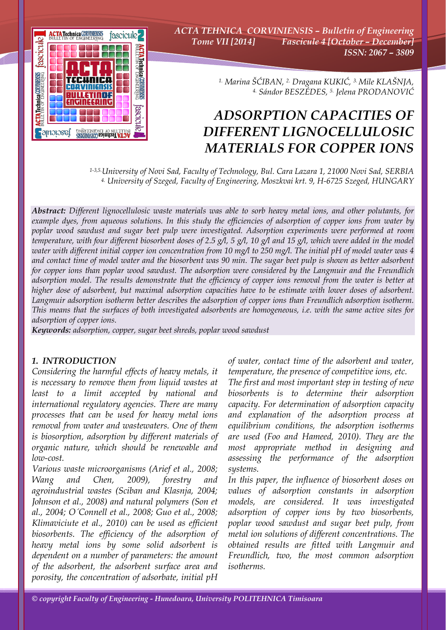

*ACTA TEHNICA CORVINIENSIS – Bulletin of Engineering Tome VII [2014] Fascicule 4 [October – December] ISSN: 2067 – 3809* 

> *1. Marina ŠĆIBAN, 2. Dragana KUKIĆ, 3. Mile KLAŠNJA, 4. Sándor BESZÉDES, 5. Jelena PRODANOVIĆ*

# *ADSORPTION CAPACITIES OF DIFFERENT LIGNOCELLULOSIC MATERIALS FOR COPPER IONS*

*1-3,5.University of Novi Sad, Faculty of Technology, Bul. Cara Lazara 1, 21000 Novi Sad, SERBIA 4. University of Szeged, Faculty of Engineering, Moszkvai krt. 9, H-6725 Szeged, HUNGARY*

*Abstract: Different lignocellulosic waste materials was able to sorb heavy metal ions, and other polutants, for example dyes, from aqueous solutions. In this study the efficiencies of adsorption of copper ions from water by poplar wood sawdust and sugar beet pulp were investigated. Adsorption experiments were performed at room temperature, with four different biosorbent doses of 2.5 g/l, 5 g/l, 10 g/l and 15 g/l, which were added in the model water with different initial copper ion concentration from 10 mg/l to 250 mg/l. The initial pH of model water was 4 and contact time of model water and the biosorbent was 90 min. The sugar beet pulp is shown as better adsorbent for copper ions than poplar wood sawdust. The adsorption were considered by the Langmuir and the Freundlich adsorption model. The results demonstrate that the efficiency of copper ions removal from the water is better at higher dose of adsorbent, but maximal adsorption capacities have to be estimate with lower doses of adsorbent. Langmuir adsorption isotherm better describes the adsorption of copper ions than Freundlich adsorption isotherm. This means that the surfaces of both investigated adsorbents are homogeneous, i.e. with the same active sites for adsorption of copper ions.* 

*Keywords: adsorption, copper, sugar beet shreds, poplar wood sawdust*

#### *1. INTRODUCTION*

*Considering the harmful effects of heavy metals, it is necessary to remove them from liquid wastes at least to a limit accepted by national and international regulatory agencies. There are many processes that can be used for heavy metal ions removal from water and wastewaters. One of them is biosorption, adsorption by different materials of organic nature, which should be renewable and low-cost.* 

*Various waste microorganisms (Arief et al., 2008; Wang and Chen, 2009), forestry and agroindustrial wastes (Sciban and Klasnja, 2004; Johnson et al., 2008) and natural polymers (Son et al., 2004; О´Connell et al., 2008; Guo et al., 2008; Klimaviciute et al., 2010) can be used as efficient biosorbents. The efficiency of the adsorption of heavy metal ions by some solid adsorbent is dependent on a number of parameters: the amount of the adsorbent, the adsorbent surface area and porosity, the concentration of adsorbate, initial pH* 

*of water, contact time of the adsorbent and water, temperature, the presence of competitive ions, etc.* 

*The first and most important step in testing of new biosorbents is to determine their adsorption capacity. For determination of adsorption capacity and explanation of the adsorption process at equilibrium conditions, the adsorption isotherms are used (Foo and Hameed, 2010). They are the most appropriate method in designing and assessing the performance of the adsorption systems.* 

*In this paper, the influence of biosorbent doses on values of adsorption constants in adsorption models, are considered. It was investigated adsorption of copper ions by two biosorbents, poplar wood sawdust and sugar beet pulp, from metal ion solutions of different concentrations. The obtained results are fitted with Langmuir and Freundlich, two, the most common adsorption isotherms.*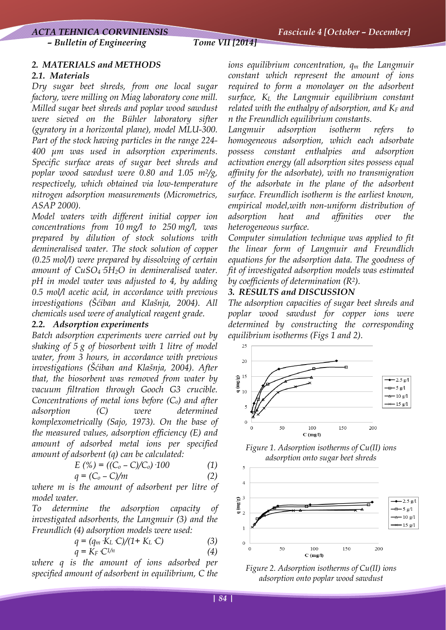*– Bulletin of Engineering Tome VII [2014]*

## *2. MATERIALS and METHODS*

#### *2.1. Materials*

*Dry sugar beet shreds, from one local sugar factory, were milling on Miag laboratory cone mill. Milled sugar beet shreds and poplar wood sawdust were sieved on the Bühler laboratory sifter (gyratory in a horizontal plane), model MLU-300. Part of the stock having particles in the range 224- 400 μm was used in adsorption experiments. Specific surface areas of sugar beet shreds and poplar wood sawdust were 0.80 and 1.05 m2/g, respectively, which obtained via low-temperature nitrogen adsorption measurements (Micrometrics, ASAP 2000).* 

*Model waters with different initial copper ion concentrations from 10 mg/l to 250 mg/l, was prepared by dilution of stock solutions with demineralised water. The stock solution of copper (0.25 mol/l) were prepared by dissolving of certain amount of CuSO4·5H2O in demineralised water. pH in model water was adjusted to 4, by adding 0.5 mol/l acetic acid, in accordance with previous investigations (Šćiban and Klašnja, 2004). All chemicals used were of analytical reagent grade.* 

## *2.2. Adsorption experiments*

*Batch adsorption experiments were carried out by shaking of 5 g of biosorbent with 1 litre of model water, from 3 hours, in accordance with previous investigations (Šćiban and Klašnja, 2004). After that, the biosorbent was removed from water by vacuum filtration through Gooch G3 crucible. Concentrations of metal ions before (Co) and after adsorption (C) were determined komplexometrically (Sajo, 1973). On the base of the measured values, adsorption efficiency (E) and amount of adsorbed metal ions per specified amount of adsorbent (q) can be calculated:* 

$$
E(%) = ((C_o - C)/C_o) \cdot 100 \tag{1}
$$

$$
q = (C_o - C)/m \tag{2}
$$

*where m is the amount of adsorbent per litre of model water.* 

*To determine the adsorption capacity of investigated adsorbents, the Langmuir (3) and the Freundlich (4) adsorption models were used:* 

$$
q = (q_m \, K_L \, C)/(1 + K_L \, C) \tag{3}
$$

$$
q = K_F \cdot C^{1/n} \tag{4}
$$

*where q is the amount of ions adsorbed per specified amount of adsorbent in equilibrium, C the*  *ions equilibrium concentration, qm the Langmuir constant which represent the amount of ions required to form a monolayer on the adsorbent surface, KL the Langmuir equilibrium constant*  related with the enthalpy of adsorption, and K<sub>F</sub> and *n the Freundlich equilibrium constants.* 

*Langmuir* adsorption isotherm refers *homogeneous adsorption, which each adsorbate possess constant enthalpies and adsorption activation energy (all adsorption sites possess equal affinity for the adsorbate), with no transmigration of the adsorbate in the plane of the adsorbent surface. Freundlich isotherm is the earliest known, empirical model,with non-uniform distribution of adsorption heat and affinities over the heterogeneous surface.* 

*Computer simulation technique was applied to fit the linear form of Langmuir and Freundlich equations for the adsorption data. The goodness of fit of investigated adsorption models was estimated by coefficients of determination (R2).* 

## *3. RESULTS and DISCUSSION*

*The adsorption capacities of sugar beet shreds and poplar wood sawdust for copper ions were determined by constructing the corresponding equilibrium isotherms (Figs 1 and 2).*



*Figure 1. Adsorption isotherms of Cu(II) ions adsorption onto sugar beet shreds* 



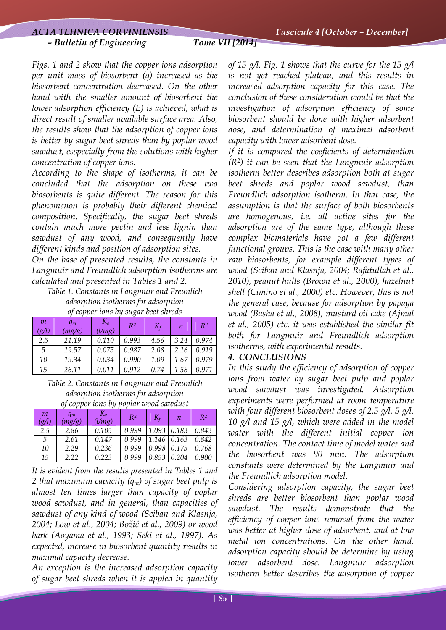*Figs. 1 and 2 show that the copper ions adsorption per unit mass of biosorbent (q) increased as the biosorbent concentration decreased. On the other hand with the smaller amount of biosorbent the lower adsorption efficiency (E) is achieved, what is direct result of smaller available surface area. Also, the results show that the adsorption of copper ions is better by sugar beet shreds than by poplar wood sawdust, esspecially from the solutions with higher concentration of copper ions.* 

*According to the shape of isotherms, it can be concluded that the adsorption on these two biosorbents is quite different. The reason for this phenomenon is probably their different chemical composition. Specifically, the sugar beet shreds contain much more pectin and less lignin than sawdust of any wood, and consequently have different kinds and position of adsorption sites.* 

*On the base of presented results, the constants in Langmuir and Freundlich adsorption isotherms are calculated and presented in Tables 1 and 2.*

*Table 1. Constants in Langmuir and Freunlich adsorption isotherms for adsorption of copper ions by sugar beet shreds* 

| $\boldsymbol{m}$<br>$\mathscr{L}(l)$ | $q_m$<br>(mg/g) | Ka<br>(l/mg) | $R^2$ | $K_f$ | $\boldsymbol{n}$ | $R^2$ |
|--------------------------------------|-----------------|--------------|-------|-------|------------------|-------|
| 2.5                                  | 21.19           | 0.110        | 0.993 | 4.56  | 3.24             | 0.974 |
| 5                                    | 19.57           | 0.075        | 0.987 | 2.08  | 2.16             | 0.919 |
| 10                                   | 19.34           | 0.034        | 0.990 | 1.09  | 1.6.             | 0.979 |
| 15                                   | 26.11           | 0.011        | 0.912 | 0.74  | 1.58             | 0.971 |

*Table 2. Constants in Langmuir and Freunlich adsorption isotherms for adsorption of copper ions by poplar wood sawdust* 

| m<br>$\mathscr{L}(l)$ | $q_m$<br>mg/g) | Ka<br>(l/mg) | R <sup>2</sup> | $K_f$ | п     | R <sup>2</sup> |
|-----------------------|----------------|--------------|----------------|-------|-------|----------------|
| 2.5                   | 2.86           | 0.105        | 0.999          | 1.093 | 0.183 | 0.843          |
| 5                     | 2.61           | 0.147        | 0.999          | 1.146 | 0.163 | 0.842          |
| 10                    | 2.29           | 0.236        | 0.999          | 0.998 | 0.175 | 0.768          |
| 15                    | 2.22           | 0.223        | 0.999          | 0.853 | 0.204 | 0.900          |

*It is evident from the results presented in Tables 1 and 2 that maximum capacity (qm) of sugar beet pulp is almost ten times larger than capacity of poplar wood sawdust, and in general, than capacities of sawdust of any kind of wood (Sciban and Klasnja, 2004; Low et al., 2004; Božić et al., 2009) or wood bark (Aoyama et al., 1993; Seki et al., 1997). As expected, increase in biosorbent quantity results in maximal capacity decrease.* 

*An exception is the increased adsorption capacity of sugar beet shreds when it is appled in quantity*  *of 15 g/l. Fig. 1 shows that the curve for the 15 g/l is not yet reached plateau, and this results in increased adsorption capacity for this case. The conclusion of these consideration would be that the investigation of adsorption efficiency of some biosorbent should be done with higher adsorbent dose, and determination of maximal adsorbent capacity with lower adsorbent dose.* 

*If it is compared the coeficients of determination (R2) it can be seen that the Langmuir adsorption isotherm better describes adsorption both at sugar beet shreds and poplar wood sawdust, than Freundlich adsorption isotherm. In that case, the assumption is that the surface of both biosorbents are homogenous, i.e. all active sites for the adsorption are of the same type, although these complex biomaterials have got a few different functional groups. This is the case with many other raw biosorbents, for example different types of wood (Sciban and Klasnja, 2004; Rafatullah et al., 2010), peanut hulls (Brown et al., 2000), hazelnut shell (Cimino et al., 2000) etc. However, this is not the general case, because for adsorption by papaya wood (Basha et al., 2008), mustard oil cake (Ajmal et al., 2005) etc. it was established the similar fit both for Langmuir and Freundlich adsorption isotherms, with experimental results.* 

#### *4. CONCLUSIONS*

*In this study the efficiency of adsorption of copper ions from water by sugar beet pulp and poplar wood sawdust was investigated. Adsorption experiments were performed at room temperature with four different biosorbent doses of 2.5 g/l, 5 g/l, 10 g/l and 15 g/l, which were added in the model water with the different initial copper ion concentration. The contact time of model water and the biosorbent was 90 min. The adsorption constants were determined by the Langmuir and the Freundlich adsorption model.* 

*Considering adsorption capacity, the sugar beet shreds are better biosorbent than poplar wood sawdust. The results demonstrate that the efficiency of copper ions removal from the water was better at higher dose of adsorbent, and at low metal ion concentrations. On the other hand, adsorption capacity should be determine by using lower adsorbent dose. Langmuir adsorption isotherm better describes the adsorption of copper*